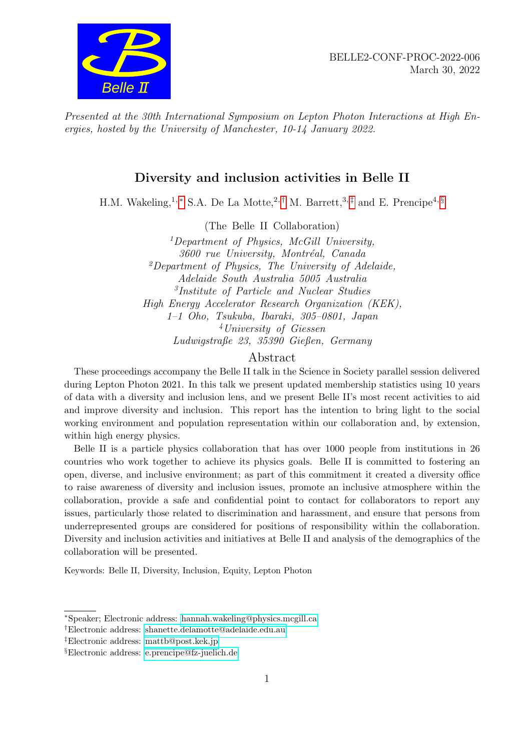

Presented at the 30th International Symposium on Lepton Photon Interactions at High Energies, hosted by the University of Manchester, 10-14 January 2022.

# Diversity and inclusion activities in Belle II

H.M. Wakeling,<sup>1,\*</sup> S.A. De La Motte,<sup>2,[†](#page-0-1)</sup> M. Barrett,<sup>3,[‡](#page-0-2)</sup> and E. Prencipe<sup>4, [§](#page-0-3)</sup>

(The Belle II Collaboration)

<sup>1</sup>Department of Physics, McGill University, 3600 rue University, Montréal, Canada <sup>2</sup>Department of Physics, The University of Adelaide, Adelaide South Australia 5005 Australia 3 Institute of Particle and Nuclear Studies High Energy Accelerator Research Organization (KEK), 1–1 Oho, Tsukuba, Ibaraki, 305–0801, Japan <sup>4</sup>University of Giessen Ludwigstraße 23, 35390 Gießen, Germany

### Abstract

These proceedings accompany the Belle II talk in the Science in Society parallel session delivered during Lepton Photon 2021. In this talk we present updated membership statistics using 10 years of data with a diversity and inclusion lens, and we present Belle II's most recent activities to aid and improve diversity and inclusion. This report has the intention to bring light to the social working environment and population representation within our collaboration and, by extension, within high energy physics.

Belle II is a particle physics collaboration that has over 1000 people from institutions in 26 countries who work together to achieve its physics goals. Belle II is committed to fostering an open, diverse, and inclusive environment; as part of this commitment it created a diversity office to raise awareness of diversity and inclusion issues, promote an inclusive atmosphere within the collaboration, provide a safe and confidential point to contact for collaborators to report any issues, particularly those related to discrimination and harassment, and ensure that persons from underrepresented groups are considered for positions of responsibility within the collaboration. Diversity and inclusion activities and initiatives at Belle II and analysis of the demographics of the collaboration will be presented.

Keywords: Belle II, Diversity, Inclusion, Equity, Lepton Photon

<span id="page-0-0"></span><sup>∗</sup>Speaker; Electronic address: [hannah.wakeling@physics.mcgill.ca](mailto:hannah.wakeling@physics.mcgill.ca)

<span id="page-0-2"></span><span id="page-0-1"></span><sup>†</sup>Electronic address: [shanette.delamotte@adelaide.edu.au](mailto:shanette.delamotte@adelaide.edu.au)

<span id="page-0-3"></span><sup>‡</sup>Electronic address: [mattb@post.kek.jp](mailto:mattb@post.kek.jp)

<sup>§</sup>Electronic address: [e.prencipe@fz-juelich.de](mailto:e.prencipe@fz-juelich.de)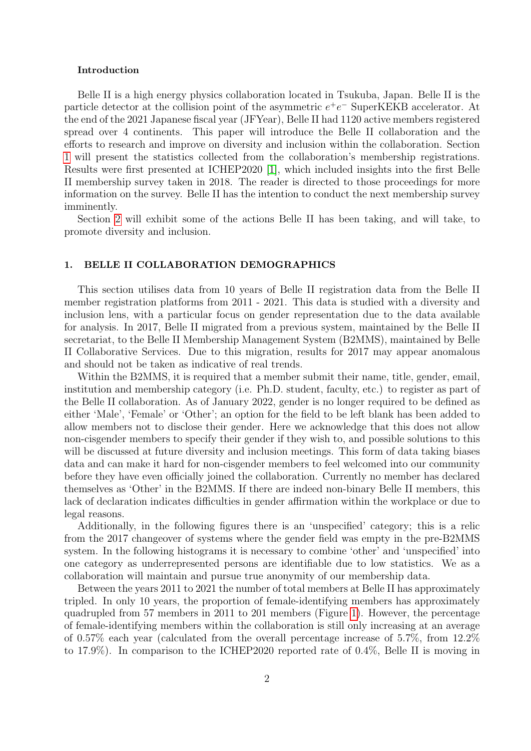#### Introduction

Belle II is a high energy physics collaboration located in Tsukuba, Japan. Belle II is the particle detector at the collision point of the asymmetric  $e^+e^-$  SuperKEKB accelerator. At the end of the 2021 Japanese fiscal year (JFYear), Belle II had 1120 active members registered spread over 4 continents. This paper will introduce the Belle II collaboration and the efforts to research and improve on diversity and inclusion within the collaboration. Section [1](#page-1-0) will present the statistics collected from the collaboration's membership registrations. Results were first presented at ICHEP2020 [\[1\]](#page-4-0), which included insights into the first Belle II membership survey taken in 2018. The reader is directed to those proceedings for more information on the survey. Belle II has the intention to conduct the next membership survey imminently.

Section [2](#page-3-0) will exhibit some of the actions Belle II has been taking, and will take, to promote diversity and inclusion.

#### <span id="page-1-0"></span>1. BELLE II COLLABORATION DEMOGRAPHICS

This section utilises data from 10 years of Belle II registration data from the Belle II member registration platforms from 2011 - 2021. This data is studied with a diversity and inclusion lens, with a particular focus on gender representation due to the data available for analysis. In 2017, Belle II migrated from a previous system, maintained by the Belle II secretariat, to the Belle II Membership Management System (B2MMS), maintained by Belle II Collaborative Services. Due to this migration, results for 2017 may appear anomalous and should not be taken as indicative of real trends.

Within the B2MMS, it is required that a member submit their name, title, gender, email, institution and membership category (i.e. Ph.D. student, faculty, etc.) to register as part of the Belle II collaboration. As of January 2022, gender is no longer required to be defined as either 'Male', 'Female' or 'Other'; an option for the field to be left blank has been added to allow members not to disclose their gender. Here we acknowledge that this does not allow non-cisgender members to specify their gender if they wish to, and possible solutions to this will be discussed at future diversity and inclusion meetings. This form of data taking biases data and can make it hard for non-cisgender members to feel welcomed into our community before they have even officially joined the collaboration. Currently no member has declared themselves as 'Other' in the B2MMS. If there are indeed non-binary Belle II members, this lack of declaration indicates difficulties in gender affirmation within the workplace or due to legal reasons.

Additionally, in the following figures there is an 'unspecified' category; this is a relic from the 2017 changeover of systems where the gender field was empty in the pre-B2MMS system. In the following histograms it is necessary to combine 'other' and 'unspecified' into one category as underrepresented persons are identifiable due to low statistics. We as a collaboration will maintain and pursue true anonymity of our membership data.

Between the years 2011 to 2021 the number of total members at Belle II has approximately tripled. In only 10 years, the proportion of female-identifying members has approximately quadrupled from 57 members in 2011 to 201 members (Figure [1\)](#page-2-0). However, the percentage of female-identifying members within the collaboration is still only increasing at an average of 0.57% each year (calculated from the overall percentage increase of 5.7%, from 12.2% to 17.9%). In comparison to the ICHEP2020 reported rate of 0.4%, Belle II is moving in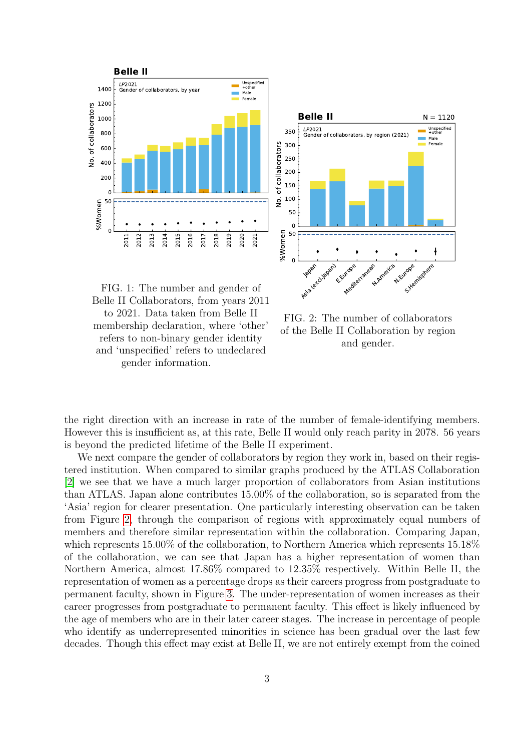<span id="page-2-0"></span>



FIG. 1: The number and gender of Belle II Collaborators, from years 2011 to 2021. Data taken from Belle II membership declaration, where 'other' refers to non-binary gender identity and 'unspecified' refers to undeclared gender information.

FIG. 2: The number of collaborators of the Belle II Collaboration by region and gender.

the right direction with an increase in rate of the number of female-identifying members. However this is insufficient as, at this rate, Belle II would only reach parity in 2078. 56 years is beyond the predicted lifetime of the Belle II experiment.

We next compare the gender of collaborators by region they work in, based on their registered institution. When compared to similar graphs produced by the ATLAS Collaboration [\[2\]](#page-4-1) we see that we have a much larger proportion of collaborators from Asian institutions than ATLAS. Japan alone contributes 15.00% of the collaboration, so is separated from the 'Asia' region for clearer presentation. One particularly interesting observation can be taken from Figure [2,](#page-2-0) through the comparison of regions with approximately equal numbers of members and therefore similar representation within the collaboration. Comparing Japan, which represents 15.00% of the collaboration, to Northern America which represents 15.18% of the collaboration, we can see that Japan has a higher representation of women than Northern America, almost 17.86% compared to 12.35% respectively. Within Belle II, the representation of women as a percentage drops as their careers progress from postgraduate to permanent faculty, shown in Figure [3.](#page-3-1) The under-representation of women increases as their career progresses from postgraduate to permanent faculty. This effect is likely influenced by the age of members who are in their later career stages. The increase in percentage of people who identify as underrepresented minorities in science has been gradual over the last few decades. Though this effect may exist at Belle II, we are not entirely exempt from the coined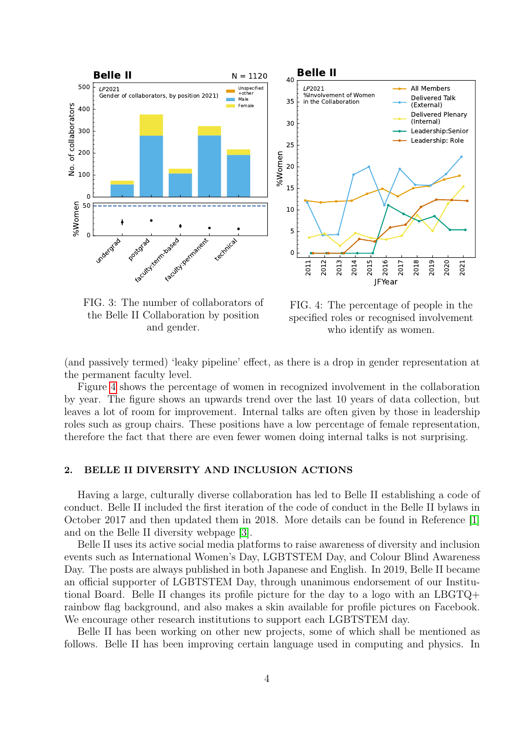<span id="page-3-1"></span>

the Belle II Collaboration by position and gender.

FIG. 4: The percentage of people in the specified roles or recognised involvement who identify as women.

(and passively termed) 'leaky pipeline' effect, as there is a drop in gender representation at the permanent faculty level.

Figure [4](#page-3-1) shows the percentage of women in recognized involvement in the collaboration by year. The figure shows an upwards trend over the last 10 years of data collection, but leaves a lot of room for improvement. Internal talks are often given by those in leadership roles such as group chairs. These positions have a low percentage of female representation, therefore the fact that there are even fewer women doing internal talks is not surprising.

## <span id="page-3-0"></span>2. BELLE II DIVERSITY AND INCLUSION ACTIONS

Having a large, culturally diverse collaboration has led to Belle II establishing a code of conduct. Belle II included the first iteration of the code of conduct in the Belle II bylaws in October 2017 and then updated them in 2018. More details can be found in Reference [\[1\]](#page-4-0) and on the Belle II diversity webpage [\[3\]](#page-4-2).

Belle II uses its active social media platforms to raise awareness of diversity and inclusion events such as International Women's Day, LGBTSTEM Day, and Colour Blind Awareness Day. The posts are always published in both Japanese and English. In 2019, Belle II became an official supporter of LGBTSTEM Day, through unanimous endorsement of our Institutional Board. Belle II changes its profile picture for the day to a logo with an LBGTQ+ rainbow flag background, and also makes a skin available for profile pictures on Facebook. We encourage other research institutions to support each LGBTSTEM day.

Belle II has been working on other new projects, some of which shall be mentioned as follows. Belle II has been improving certain language used in computing and physics. In